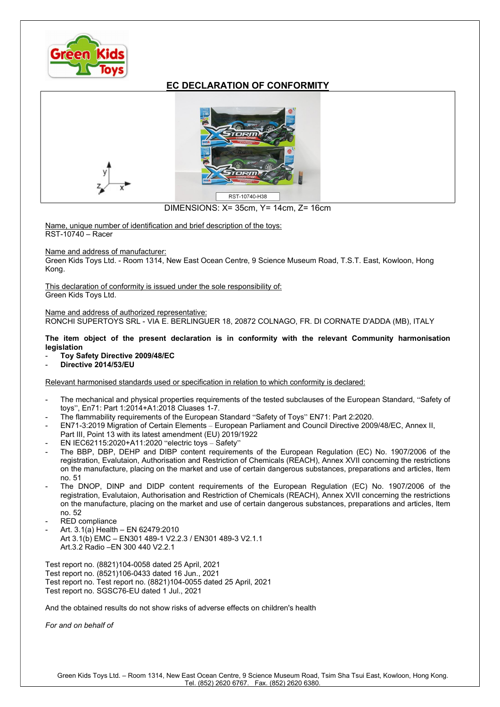

## EC DECLARATION OF CONFORMITY



DIMENSIONS: X= 35cm, Y= 14cm, Z= 16cm

Name, unique number of identification and brief description of the toys: RST-10740 – Racer

Name and address of manufacturer:

Green Kids Toys Ltd. - Room 1314, New East Ocean Centre, 9 Science Museum Road, T.S.T. East, Kowloon, Hong Kong.

This declaration of conformity is issued under the sole responsibility of: Green Kids Toys Ltd.

Name and address of authorized representative: RONCHI SUPERTOYS SRL - VIA E. BERLINGUER 18, 20872 COLNAGO, FR. DI CORNATE D'ADDA (MB), ITALY

The item object of the present declaration is in conformity with the relevant Community harmonisation legislation

- Toy Safety Directive 2009/48/EC
- Directive 2014/53/EU

Relevant harmonised standards used or specification in relation to which conformity is declared:

- The mechanical and physical properties requirements of the tested subclauses of the European Standard, "Safety of toys", En71: Part 1:2014+A1:2018 Cluases 1-7.
- The flammability requirements of the European Standard "Safety of Toys" EN71: Part 2:2020.
- EN71-3:2019 Migration of Certain Elements European Parliament and Council Directive 2009/48/EC, Annex II, Part III, Point 13 with its latest amendment (EU) 2019/1922
- EN IEC62115:2020+A11:2020 "electric toys Safety"
- The BBP, DBP, DEHP and DIBP content requirements of the European Regulation (EC) No. 1907/2006 of the registration, Evalutaion, Authorisation and Restriction of Chemicals (REACH), Annex XVII concerning the restrictions on the manufacture, placing on the market and use of certain dangerous substances, preparations and articles, Item no. 51
- The DNOP, DINP and DIDP content requirements of the European Regulation (EC) No. 1907/2006 of the registration, Evalutaion, Authorisation and Restriction of Chemicals (REACH), Annex XVII concerning the restrictions on the manufacture, placing on the market and use of certain dangerous substances, preparations and articles, Item no. 52
- RED compliance
- Art. 3.1(a) Health EN 62479:2010 Art 3.1(b) EMC – EN301 489-1 V2.2.3 / EN301 489-3 V2.1.1 Art.3.2 Radio –EN 300 440 V2.2.1

Test report no. (8821)104-0058 dated 25 April, 2021 Test report no. (8521)106-0433 dated 16 Jun., 2021 Test report no. Test report no. (8821)104-0055 dated 25 April, 2021 Test report no. SGSC76-EU dated 1 Jul., 2021

And the obtained results do not show risks of adverse effects on children's health

For and on behalf of